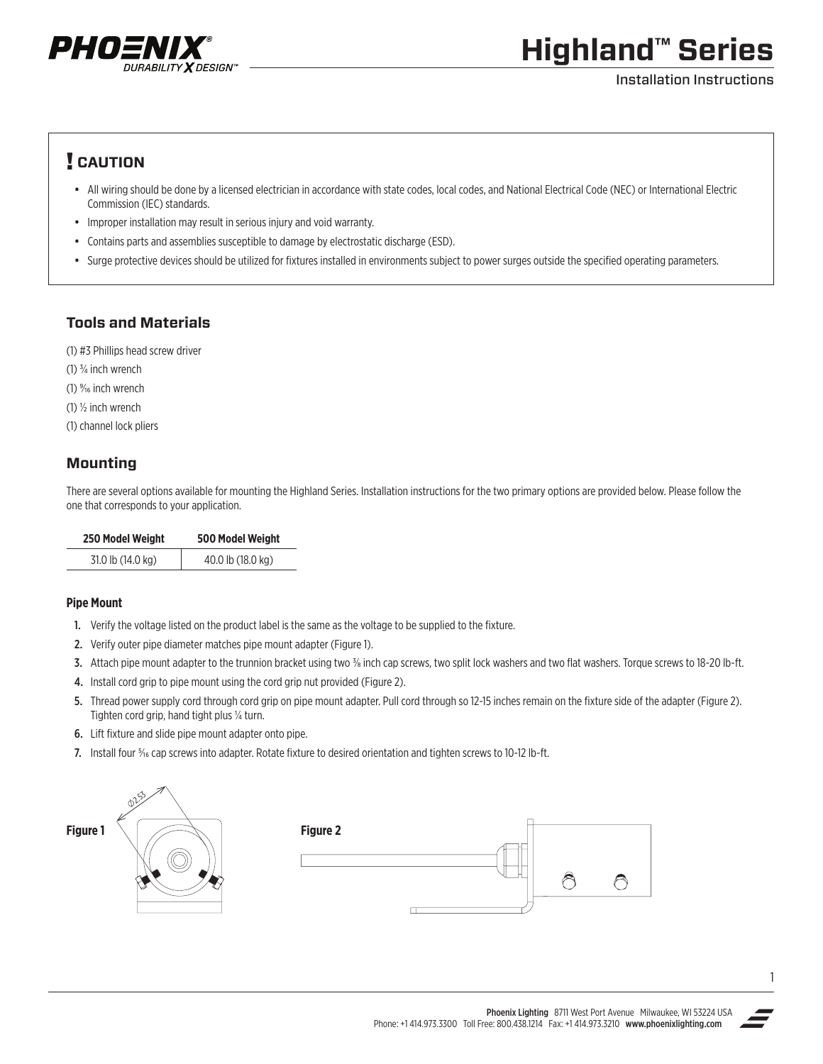

# **Highland™ Series**

#### Installation Instructions

# ! **CAUTION**

- All wiring should be done by a licensed electrician in accordance with state codes, local codes, and National Electrical Code (NEC) or International Electric Commission (IEC) standards.
- Improper installation may result in serious injury and void warranty.
- Contains parts and assemblies susceptible to damage by electrostatic discharge (ESD).
- Surge protective devices should be utilized for fixtures installed in environments subject to power surges outside the specified operating parameters.

### **Tools and Materials**

- (1) #3 Phillips head screw driver
- (1)  $\frac{3}{4}$  inch wrench
- (1)  $\frac{9}{16}$  inch wrench
- (1)  $\frac{1}{2}$  inch wrench
- (1) channel lock pliers

## **Mounting**

There are several options available for mounting the Highland Series. Installation instructions for the two primary options are provided below. Please follow the one that corresponds to your application.

| 250 Model Weight  | 500 Model Weight  |
|-------------------|-------------------|
| 31.0 lb (14.0 kg) | 40.0 lb (18.0 kg) |

#### **Pipe Mount**

- 1. Verify the voltage listed on the product label is the same as the voltage to be supplied to the fixture.
- 2. Verify outer pipe diameter matches pipe mount adapter (Figure 1).
- 3. Attach pipe mount adapter to the trunnion bracket using two 3/8 inch cap screws, two split lock washers and two flat washers. Torque screws to 18-20 lb-ft.
- 4. Install cord grip to pipe mount using the cord grip nut provided (Figure 2).
- 5. Thread power supply cord through cord grip on pipe mount adapter. Pull cord through so 12-15 inches remain on the fixture side of the adapter (Figure 2). Tighten cord grip, hand tight plus ¼ turn.
- 6. Lift fixture and slide pipe mount adapter onto pipe.
- 7. Install four 5% cap screws into adapter. Rotate fixture to desired orientation and tighten screws to 10-12 lb-ft.





1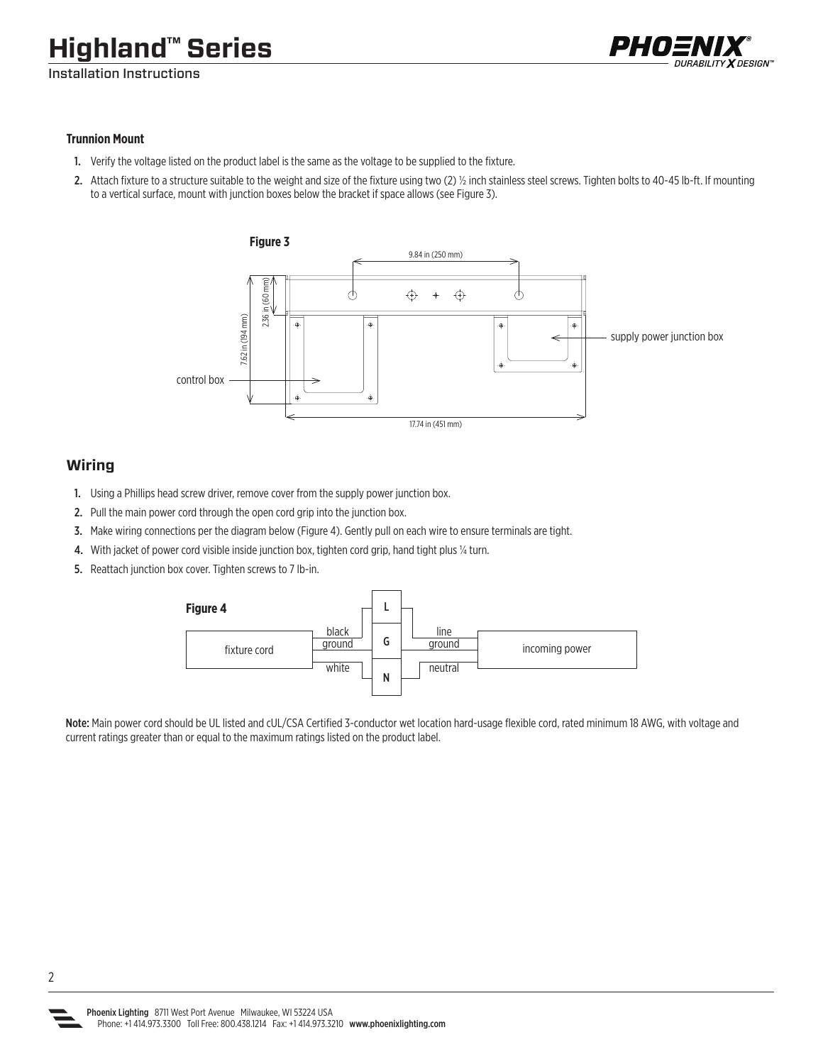# **Highland™ Series**

Installation Instructions



#### **Trunnion Mount**

- 1. Verify the voltage listed on the product label is the same as the voltage to be supplied to the fixture.
- 2. Attach fixture to a structure suitable to the weight and size of the fixture using two  $(2)$   $\frac{1}{2}$  inch stainless steel screws. Tighten bolts to 40-45 lb-ft. If mounting to a vertical surface, mount with junction boxes below the bracket if space allows (see Figure 3).



### **Wiring**

- 1. Using a Phillips head screw driver, remove cover from the supply power junction box.
- 2. Pull the main power cord through the open cord grip into the junction box.
- 3. Make wiring connections per the diagram below (Figure 4). Gently pull on each wire to ensure terminals are tight.
- 4. With jacket of power cord visible inside junction box, tighten cord grip, hand tight plus 1/4 turn.
- 5. Reattach junction box cover. Tighten screws to 7 lb-in.



Note: Main power cord should be UL listed and cUL/CSA Certified 3-conductor wet location hard-usage flexible cord, rated minimum 18 AWG, with voltage and current ratings greater than or equal to the maximum ratings listed on the product label.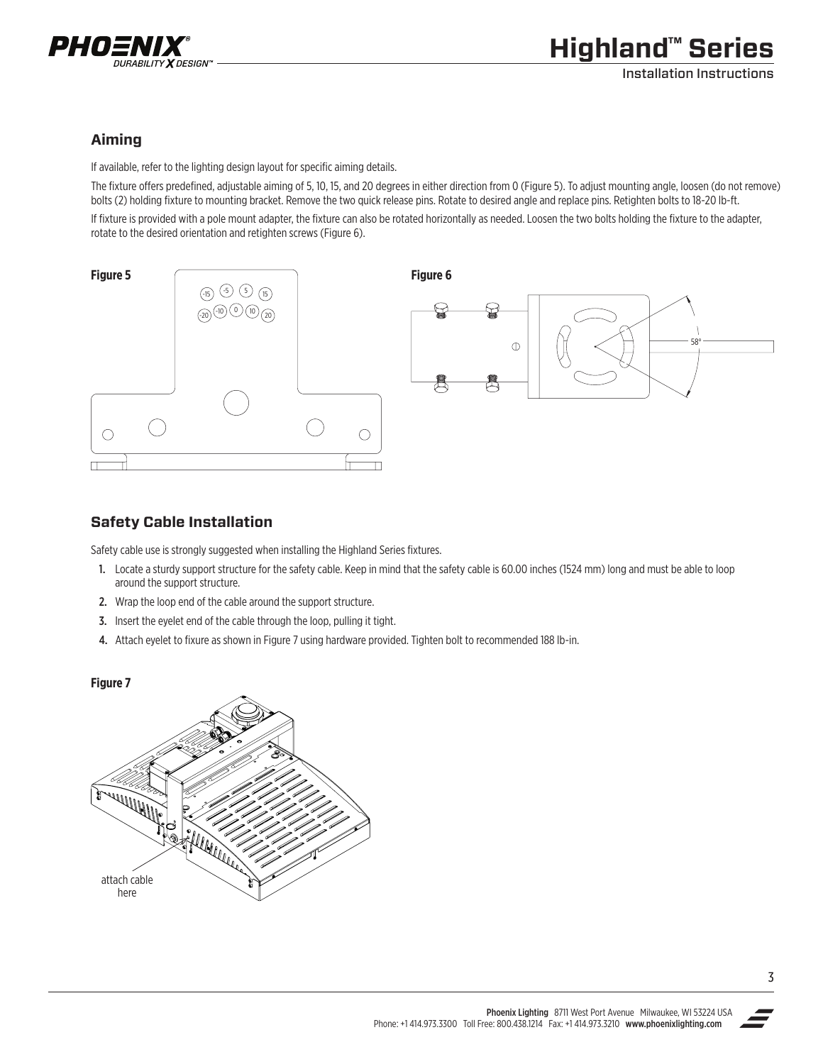

Installation Instructions

### **Aiming**

If available, refer to the lighting design layout for specific aiming details.

The fixture offers predefined, adjustable aiming of 5, 10, 15, and 20 degrees in either direction from 0 (Figure 5). To adjust mounting angle, loosen (do not remove) bolts (2) holding fixture to mounting bracket. Remove the two quick release pins. Rotate to desired angle and replace pins. Retighten bolts to 18-20 lb-ft.

If fixture is provided with a pole mount adapter, the fixture can also be rotated horizontally as needed. Loosen the two bolts holding the fixture to the adapter, rotate to the desired orientation and retighten screws (Figure 6).



#### **Safety Cable Installation**

Safety cable use is strongly suggested when installing the Highland Series fixtures.

- 1. Locate a sturdy support structure for the safety cable. Keep in mind that the safety cable is 60.00 inches (1524 mm) long and must be able to loop around the support structure.
- 2. Wrap the loop end of the cable around the support structure.
- 3. Insert the eyelet end of the cable through the loop, pulling it tight.
- 4. Attach eyelet to fixure as shown in Figure 7 using hardware provided. Tighten bolt to recommended 188 lb-in.

#### **Figure 7**